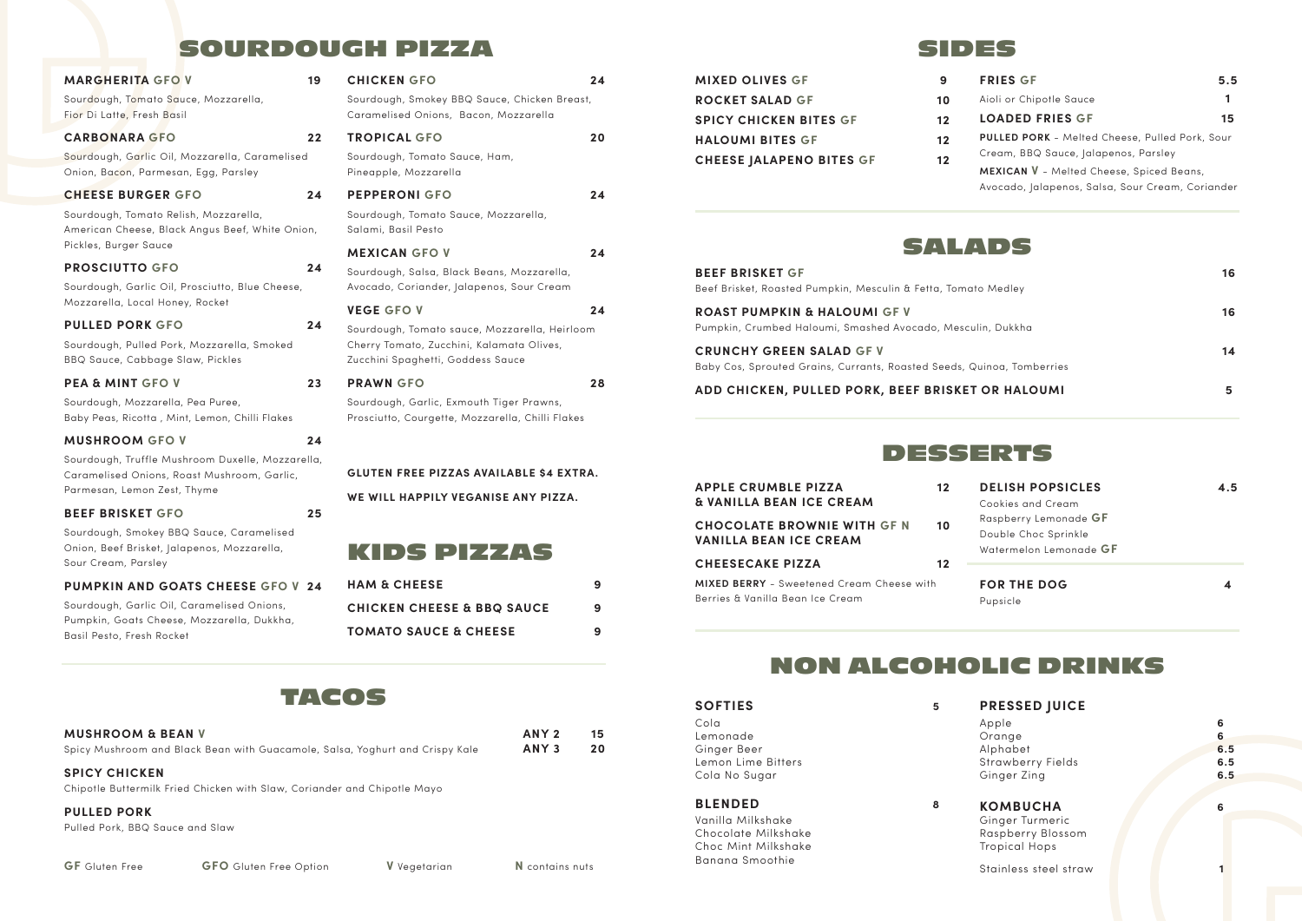| <b>MARGHERITA GFO V</b>                          | 19 | <b>CHICKEN GFO</b>                               | 24 |
|--------------------------------------------------|----|--------------------------------------------------|----|
| Sourdough, Tomato Sauce, Mozzarella,             |    | Sourdough, Smokey BBQ Sauce, Chicken Breast,     |    |
| Fior Di Latte, Fresh Basil                       |    | Caramelised Onions, Bacon, Mozzarella            |    |
| <b>CARBONARA GFO</b>                             | 22 | <b>TROPICAL GFO</b>                              | 20 |
| Sourdough, Garlic Oil, Mozzarella, Caramelised   |    | Sourdough, Tomato Sauce, Ham,                    |    |
| Onion, Bacon, Parmesan, Egg, Parsley             |    | Pineapple, Mozzarella                            |    |
| <b>CHEESE BURGER GFO</b>                         | 24 | <b>PEPPERONI GFO</b>                             | 24 |
| Sourdough, Tomato Relish, Mozzarella,            |    | Sourdough, Tomato Sauce, Mozzarella,             |    |
| American Cheese, Black Angus Beef, White Onion,  |    | Salami, Basil Pesto                              |    |
| Pickles, Burger Sauce                            |    | <b>MEXICAN GFO V</b>                             | 24 |
| <b>PROSCIUTTO GFO</b>                            | 24 | Sourdough, Salsa, Black Beans, Mozzarella,       |    |
| Sourdough, Garlic Oil, Prosciutto, Blue Cheese,  |    | Avocado, Coriander, Jalapenos, Sour Cream        |    |
| Mozzarella, Local Honey, Rocket                  |    | <b>VEGE GFO V</b>                                | 24 |
| <b>PULLED PORK GFO</b>                           | 24 | Sourdough, Tomato sauce, Mozzarella, Heirloom    |    |
| Sourdough, Pulled Pork, Mozzarella, Smoked       |    | Cherry Tomato, Zucchini, Kalamata Olives,        |    |
| BBQ Sauce, Cabbage Slaw, Pickles                 |    | Zucchini Spaghetti, Goddess Sauce                |    |
| <b>PEA &amp; MINT GFO V</b>                      | 23 | <b>PRAWN GFO</b>                                 | 28 |
| Sourdough, Mozzarella, Pea Puree,                |    | Sourdough, Garlic, Exmouth Tiger Prawns,         |    |
| Baby Peas, Ricotta, Mint, Lemon, Chilli Flakes   |    | Prosciutto, Courgette, Mozzarella, Chilli Flakes |    |
| <b>MUSHROOM GFO V</b>                            | 24 |                                                  |    |
| Sourdough, Truffle Mushroom Duxelle, Mozzarella, |    |                                                  |    |
| Caramelised Onions, Roast Mushroom, Garlic,      |    | GLUTEN FREE PIZZAS AVAILABLE \$4 EXTRA.          |    |
| Parmesan, Lemon Zest, Thyme                      |    | WE WILL HAPPILY VEGANISE ANY PIZZA.              |    |
| <b>BEEF BRISKET GFO</b>                          | 25 |                                                  |    |
| Sourdough, Smokey BBQ Sauce, Caramelised         |    |                                                  |    |
| Onion, Beef Brisket, Jalapenos, Mozzarella,      |    | KIDS PIZZAS                                      |    |
| Sour Cream, Parsley                              |    |                                                  |    |
| <b>PUMPKIN AND GOATS CHEESE GFO V 24</b>         |    | <b>HAM &amp; CHEESE</b>                          | 9  |
| Sourdough, Garlic Oil, Caramelised Onions,       |    | <b>CHICKEN CHEESE &amp; BBQ SAUCE</b>            | 9  |
| Pumpkin, Goats Cheese, Mozzarella, Dukkha,       |    |                                                  |    |

Basil Pesto, Fresh Rocket

| Sourdough, Salsa, Black Beans, Mozzarella,<br>Avocado, Coriander, Jalapenos, Sour Cream                                         |    |
|---------------------------------------------------------------------------------------------------------------------------------|----|
| <b>VEGE GFO V</b>                                                                                                               | 74 |
| Sourdough, Tomato sauce, Mozzarella, Heirloom<br>Cherry Tomato, Zucchini, Kalamata Olives,<br>Zucchini Spaghetti, Goddess Sauce |    |
| <b>PRAWN GFO</b>                                                                                                                | 28 |
| Sourdough, Garlic, Exmouth Tiger Prawns,<br>Prosciutto, Courgette, Mozzarella, Chilli Flakes                                    |    |
| <b>GLUTEN FREE PIZZAS AVAILABLE \$4 EXTRA.</b>                                                                                  |    |
| WE WILL HAPPILY VEGANISE ANY PIZZA.                                                                                             |    |
|                                                                                                                                 |    |
| KIDS PIZZAS                                                                                                                     |    |
| <b>HAM &amp; CHEESE</b>                                                                                                         | 9  |
|                                                                                                                                 |    |

| <b>HAM &amp; CHEESE</b>               |   |
|---------------------------------------|---|
| <b>CHICKEN CHEESE &amp; BBQ SAUCE</b> | 9 |
| <b>TOMATO SAUCE &amp; CHEESE</b>      |   |

| <b>MUSHROOM &amp; BEAN V</b>                                                 | ANY <sub>2</sub> | 15 |
|------------------------------------------------------------------------------|------------------|----|
| Spicy Mushroom and Black Bean with Guacamole, Salsa, Yoghurt and Crispy Kale | ANY 3            | 20 |

## **SPICY CHICKEN**

#### **PULLED PORK**



## SOURDOUGH PIZZA

## TACOS





Baby Cos, Sprouted Grains, Currants, Roasted Seeds, Quinoa, Tomberries

### **ADD CHICKEN, PULLED PORK, BEEF BRISKET OR HALOUMI 5**

| <b>APPLE CRUMBLE PIZZA</b><br>& VANILLA BEAN ICE CREAM                               | 12 | <b>DELISH POPSICLES</b><br>Cookies and Cream                            | 4.5 |  |
|--------------------------------------------------------------------------------------|----|-------------------------------------------------------------------------|-----|--|
| <b>CHOCOLATE BROWNIE WITH GF N</b><br><b>VANILLA BEAN ICE CREAM</b>                  | 10 | Raspberry Lemonade GF<br>Double Choc Sprinkle<br>Watermelon Lemonade GF |     |  |
| <b>CHEESECAKE PIZZA</b>                                                              | 12 |                                                                         |     |  |
| <b>MIXED BERRY</b> - Sweetened Cream Cheese with<br>Berries & Vanilla Bean Ice Cream |    | <b>FOR THE DOG</b><br>Pupsicle                                          |     |  |







| <b>BEEF BRISKET GF</b>                       |
|----------------------------------------------|
| Beef Brisket, Roasted Pumpkin, Mesculin & Fe |
| <b>ROAST PUMPKIN &amp; HALOUMI GF V</b>      |
|                                              |
| Pumpkin, Crumbed Haloumi, Smashed Avoca      |

## DESSERTS

# NON ALCOHOLIC DRINKS

| <b>MIXED OLIVES GF</b>          | 9       | <b>FRIES GF</b>                                       | 5.5 |  |
|---------------------------------|---------|-------------------------------------------------------|-----|--|
| <b>ROCKET SALAD GF</b>          | 10      | Aioli or Chipotle Sauce                               |     |  |
| <b>SPICY CHICKEN BITES GF</b>   | 12      | <b>LOADED FRIES GF</b>                                | 15  |  |
| <b>HALOUMI BITES GF</b>         | $12 \,$ | <b>PULLED PORK</b> - Melted Cheese, Pulled Pork, Sour |     |  |
| <b>CHEESE JALAPENO BITES GF</b> | $12 \,$ | Cream, BBQ Sauce, Jalapenos, Parsley                  |     |  |
|                                 |         | <b>MEXICAN V</b> - Melted Cheese, Spiced Beans,       |     |  |
|                                 |         | Avocado, Jalapenos, Salsa, Sour Cream, Coriander      |     |  |

|                                                       | $\blacksquare$                                                                                                                                           |                     |                                      |          | <b>SOFTIES</b>                                                                    | <b>PRESSED JUICE</b>                                                     |                        |  |
|-------------------------------------------------------|----------------------------------------------------------------------------------------------------------------------------------------------------------|---------------------|--------------------------------------|----------|-----------------------------------------------------------------------------------|--------------------------------------------------------------------------|------------------------|--|
| <b>MUSHROOM &amp; BEAN V</b><br><b>SPICY CHICKEN</b>  | Spicy Mushroom and Black Bean with Guacamole, Salsa, Yoghurt and Crispy Kale<br>Chipotle Buttermilk Fried Chicken with Slaw, Coriander and Chipotle Mayo |                     | ANY <sub>2</sub><br>ANY <sub>3</sub> | 15<br>20 | Cola<br>Lemonade<br>Ginger Beer<br>Lemon Lime Bitters<br>Cola No Sugar            | Apple<br>Orange<br>Alphabet<br><b>Strawberry Fields</b><br>Ginger Zing   | O<br>6.5<br>6.5<br>6.5 |  |
| <b>PULLED PORK</b><br>Pulled Pork, BBQ Sauce and Slaw |                                                                                                                                                          |                     |                                      |          | <b>BLENDED</b><br>Vanilla Milkshake<br>Chocolate Milkshake<br>Choc Mint Milkshake | <b>KOMBUCHA</b><br>Ginger Turmeric<br>Raspberry Blossom<br>Tropical Hops |                        |  |
| <b>GF</b> Gluten Free                                 | <b>GFO</b> Gluten Free Option                                                                                                                            | <b>V</b> Vegetarian | N contains nuts                      |          | Banana Smoothie                                                                   | Stainless steel straw                                                    |                        |  |